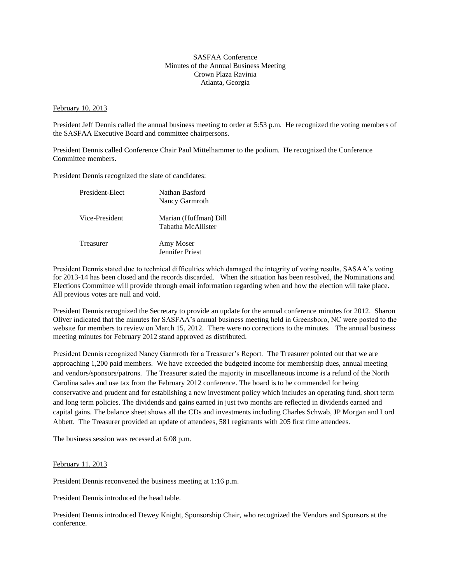## SASFAA Conference Minutes of the Annual Business Meeting Crown Plaza Ravinia Atlanta, Georgia

## February 10, 2013

President Jeff Dennis called the annual business meeting to order at 5:53 p.m. He recognized the voting members of the SASFAA Executive Board and committee chairpersons.

President Dennis called Conference Chair Paul Mittelhammer to the podium. He recognized the Conference Committee members.

President Dennis recognized the slate of candidates:

| President-Elect  | Nathan Basford<br>Nancy Garmroth            |
|------------------|---------------------------------------------|
| Vice-President   | Marian (Huffman) Dill<br>Tabatha McAllister |
| <b>Treasurer</b> | Amy Moser<br><b>Jennifer Priest</b>         |

President Dennis stated due to technical difficulties which damaged the integrity of voting results, SASAA's voting for 2013-14 has been closed and the records discarded. When the situation has been resolved, the Nominations and Elections Committee will provide through email information regarding when and how the election will take place. All previous votes are null and void.

President Dennis recognized the Secretary to provide an update for the annual conference minutes for 2012. Sharon Oliver indicated that the minutes for SASFAA's annual business meeting held in Greensboro, NC were posted to the website for members to review on March 15, 2012. There were no corrections to the minutes. The annual business meeting minutes for February 2012 stand approved as distributed.

President Dennis recognized Nancy Garmroth for a Treasurer's Report. The Treasurer pointed out that we are approaching 1,200 paid members. We have exceeded the budgeted income for membership dues, annual meeting and vendors/sponsors/patrons. The Treasurer stated the majority in miscellaneous income is a refund of the North Carolina sales and use tax from the February 2012 conference. The board is to be commended for being conservative and prudent and for establishing a new investment policy which includes an operating fund, short term and long term policies. The dividends and gains earned in just two months are reflected in dividends earned and capital gains. The balance sheet shows all the CDs and investments including Charles Schwab, JP Morgan and Lord Abbett. The Treasurer provided an update of attendees, 581 registrants with 205 first time attendees.

The business session was recessed at 6:08 p.m.

## February 11, 2013

President Dennis reconvened the business meeting at 1:16 p.m.

President Dennis introduced the head table.

President Dennis introduced Dewey Knight, Sponsorship Chair, who recognized the Vendors and Sponsors at the conference.